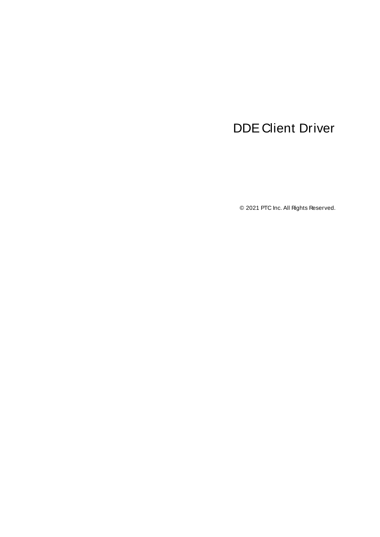# <span id="page-0-0"></span>DDE Client Driver

© 2021 PTC Inc. All Rights Reserved.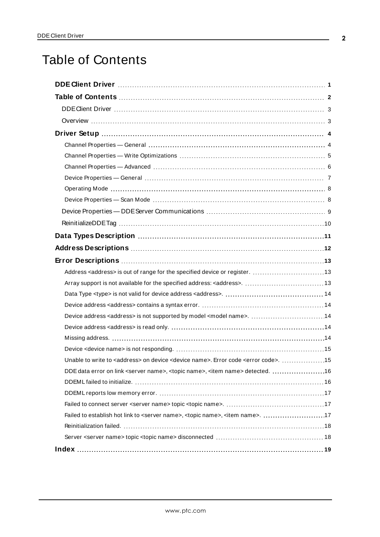# <span id="page-1-0"></span>Table of Contents

| Unable to write to <address> on device <device name="">. Error code <error code="">. 15</error></device></address> |  |
|--------------------------------------------------------------------------------------------------------------------|--|
|                                                                                                                    |  |
|                                                                                                                    |  |
|                                                                                                                    |  |
|                                                                                                                    |  |
|                                                                                                                    |  |
|                                                                                                                    |  |
|                                                                                                                    |  |
|                                                                                                                    |  |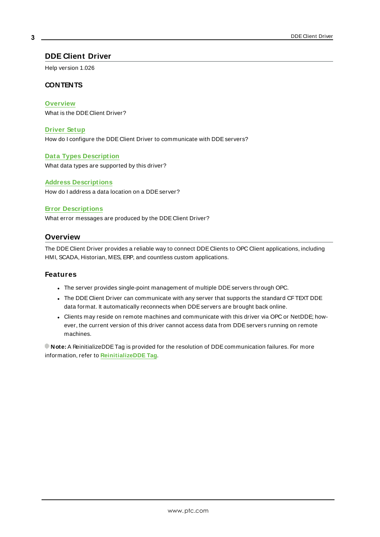## <span id="page-2-0"></span>**DDE Client Driver**

Help version 1.026

#### **CONTENTS**

#### **[Overview](#page-2-1)**

What is the DDE Client Driver?

#### **[Driver](#page-3-0) Setup**

How do I configure the DDE Client Driver to communicate with DDE servers?

#### **Data Types [Description](#page-10-0)**

What data types are supported by this driver?

#### **Address [Descriptions](#page-11-0)**

How do I address a data location on a DDE server?

#### **Error [Descriptions](#page-12-0)**

<span id="page-2-1"></span>What error messages are produced by the DDE Client Driver?

## **Overview**

The DDE Client Driver provides a reliable way to connect DDE Clients to OPC Client applications, including HMI, SCADA, Historian, MES, ERP, and countless custom applications.

#### **Features**

- The server provides single-point management of multiple DDE servers through OPC.
- The DDE Client Driver can communicate with any server that supports the standard CFTEXT DDE data format. It automatically reconnects when DDE servers are brought back online.
- Clients may reside on remote machines and communicate with this driver via OPC or NetDDE; however, the current version of this driver cannot access data from DDE servers running on remote machines.

**Note:** A ReinitializeDDETag is provided for the resolution of DDEcommunication failures. For more information, refer to **[ReinitializeDDE](#page-9-0) Tag**.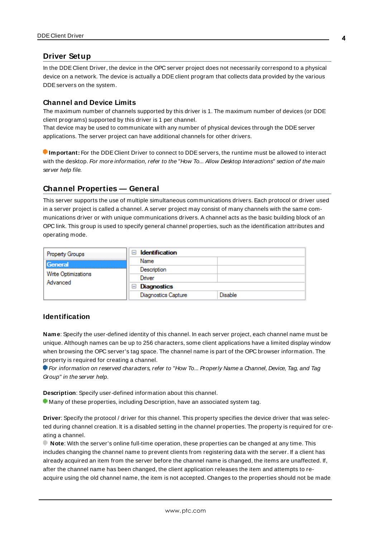## <span id="page-3-0"></span>**Driver Setup**

In the DDE Client Driver, the device in the OPC server project does not necessarily correspond to a physical device on a network. The device is actually a DDE client program that collects data provided by the various DDEservers on the system.

#### **Channel and Device Limits**

The maximum number of channels supported by this driver is 1. The maximum number of devices (or DDE client programs) supported by this driver is 1 per channel.

That device may be used to communicate with any number of physical devices through the DDE server applications. The server project can have additional channels for other drivers.

**Important:** For the DDE Client Driver to connect to DDE servers, the runtime must be allowed to interact with the desktop. For more information, refer to the "How To... Allow Desktop Interactions" section of the main server help file.

## <span id="page-3-1"></span>**Channel Properties — General**

This server supports the use of multiple simultaneous communications drivers. Each protocol or driver used in a server project is called a channel. A server project may consist of many channels with the same communications driver or with unique communications drivers. A channel acts as the basic building block of an OPC link. This group is used to specify general channel properties, such as the identification attributes and operating mode.

| <b>Property Groups</b>                     | <b>Identification</b><br>$\overline{\phantom{a}}$ |                |
|--------------------------------------------|---------------------------------------------------|----------------|
| General<br>Write Optimizations<br>Advanced | Name                                              |                |
|                                            | Description                                       |                |
|                                            | Driver                                            |                |
|                                            | Diagnostics<br>$=$                                |                |
|                                            | <b>Diagnostics Capture</b>                        | <b>Disable</b> |

#### **Identification**

**Name**: Specify the user-defined identity of this channel. In each server project, each channel name must be unique. Although names can be up to 256 characters, some client applications have a limited display window when browsing the OPC server's tag space. The channel name is part of the OPC browser information. The property is required for creating a channel.

For information on reserved characters, refer to "How To... Properly Name a Channel, Device, Tag, and Tag Group" in the server help.

**Description**: Specify user-defined information about this channel.

Many of these properties, including Description, have an associated system tag.

**Driver**: Specify the protocol / driver for this channel. This property specifies the device driver that was selected during channel creation. It is a disabled setting in the channel properties. The property is required for creating a channel.

**Note**: With the server's online full-time operation, these properties can be changed at any time. This includes changing the channel name to prevent clients from registering data with the server. If a client has already acquired an item from the server before the channel name is changed, the items are unaffected. If, after the channel name has been changed, the client application releases the item and attempts to reacquire using the old channel name, the item is not accepted. Changes to the properties should not be made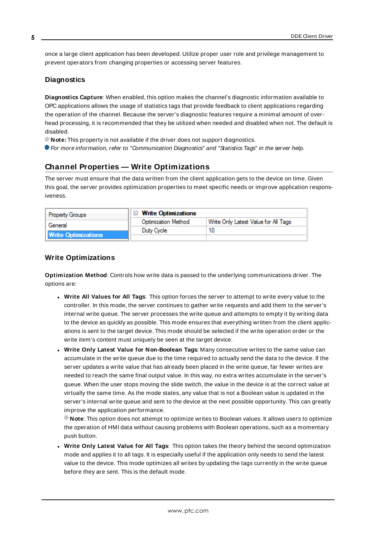once a large client application has been developed. Utilize proper user role and privilege management to prevent operators from changing properties or accessing server features.

#### **Diagnostics**

**Diagnostics Capture**: When enabled, this option makes the channel's diagnostic information available to OPC applications allows the usage of statistics tags that provide feedback to client applications regarding the operation of the channel. Because the server's diagnostic features require a minimal amount of overhead processing, it is recommended that they be utilized when needed and disabled when not. The default is disabled.

**Note:** This property is not available if the driver does not support diagnostics.

<span id="page-4-0"></span>**For more information, refer to "Communication Diagnostics" and "Statistics Tags" in the server help.** 

## **Channel Properties — Write Optimizations**

The server must ensure that the data written from the client application gets to the device on time. Given this goal, the server provides optimization properties to meet specific needs or improve application responsiveness.

| <b>Property Groups</b>     | $\Box$ Write Optimizations |                                      |
|----------------------------|----------------------------|--------------------------------------|
| General                    | <b>Optimization Method</b> | Write Only Latest Value for All Tags |
|                            | Duty Cycle                 |                                      |
| <b>Write Optimizations</b> |                            |                                      |

#### **Write Optimizations**

**Optimization Method**: Controls how write data is passed to the underlying communications driver. The options are:

- <sup>l</sup> **Write All Values for All Tags**: This option forces the server to attempt to write every value to the controller. In this mode, the server continues to gather write requests and add them to the server's internal write queue. The server processes the write queue and attempts to empty it by writing data to the device as quickly as possible. This mode ensures that everything written from the client applications is sent to the target device. This mode should be selected if the write operation order or the write item's content must uniquely be seen at the target device.
- <sup>l</sup> **Write Only Latest Value for Non-Boolean Tags**: Many consecutive writes to the same value can accumulate in the write queue due to the time required to actually send the data to the device. If the server updates a write value that has already been placed in the write queue, far fewer writes are needed to reach the same final output value. In this way, no extra writes accumulate in the server's queue. When the user stops moving the slide switch, the value in the device is at the correct value at virtually the same time. As the mode states, any value that is not a Boolean value is updated in the server's internal write queue and sent to the device at the next possible opportunity. This can greatly improve the application performance.

**Note**: This option does not attempt to optimize writes to Boolean values. It allows users to optimize the operation of HMI data without causing problems with Boolean operations, such as a momentary push button.

<sup>l</sup> **Write Only Latest Value for All Tags**: This option takes the theory behind the second optimization mode and applies it to all tags. It is especially useful if the application only needs to send the latest value to the device. This mode optimizes all writes by updating the tags currently in the write queue before they are sent. This is the default mode.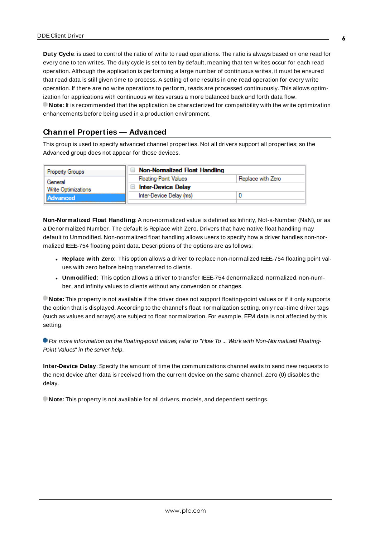**Duty Cycle**: is used to control the ratio of write to read operations. The ratio is always based on one read for every one to ten writes. The duty cycle is set to ten by default, meaning that ten writes occur for each read operation. Although the application is performing a large number of continuous writes, it must be ensured that read data is still given time to process. A setting of one results in one read operation for every write operation. If there are no write operations to perform, reads are processed continuously. This allows optimization for applications with continuous writes versus a more balanced back and forth data flow. **Note**: It is recommended that the application be characterized for compatibility with the write optimization enhancements before being used in a production environment.

## <span id="page-5-0"></span>**Channel Properties — Advanced**

This group is used to specify advanced channel properties. Not all drivers support all properties; so the Advanced group does not appear for those devices.

| <b>Property Groups</b>     | $\Box$ Non-Normalized Float Handling |                   |
|----------------------------|--------------------------------------|-------------------|
| General                    | <b>Floating-Point Values</b>         | Replace with Zero |
| <b>Write Optimizations</b> | Inter-Device Delay                   |                   |
| Advanced                   | Inter-Device Delay (ms)              |                   |
|                            |                                      |                   |

**Non-Normalized Float Handling**: A non-normalized value is defined as Infinity, Not-a-Number (NaN), or as a Denormalized Number. The default is Replace with Zero. Drivers that have native float handling may default to Unmodified. Non-normalized float handling allows users to specify how a driver handles non-normalized IEEE-754 floating point data. Descriptions of the options are as follows:

- <sup>l</sup> **Replace with Zero**: This option allows a driver to replace non-normalized IEEE-754 floating point values with zero before being transferred to clients.
- <sup>l</sup> **Unmodified**: This option allows a driver to transfer IEEE-754 denormalized, normalized, non-number, and infinity values to clients without any conversion or changes.

**Note:** This property is not available if the driver does not support floating-point values or if it only supports the option that is displayed. According to the channel's float normalization setting, only real-time driver tags (such as values and arrays) are subject to float normalization. For example, EFM data is not affected by this setting.

For more information on the floating-point values, refer to "How To ... Work with Non-Normalized Floating-Point Values" in the server help.

**Inter-Device Delay**: Specify the amount of time the communications channel waits to send new requests to the next device after data is received from the current device on the same channel. Zero (0) disables the delay.

**Note:** This property is not available for all drivers, models, and dependent settings.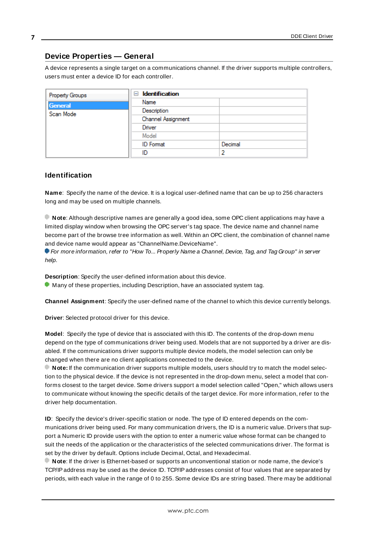# <span id="page-6-0"></span>**Device Properties — General**

A device represents a single target on a communications channel. If the driver supports multiple controllers, users must enter a device ID for each controller.

| Property Groups | <b>Identification</b><br>$\equiv$ |         |
|-----------------|-----------------------------------|---------|
| <b>General</b>  | Name                              |         |
| Scan Mode       | Description                       |         |
|                 | Channel Assignment                |         |
|                 | Driver                            |         |
|                 | Model                             |         |
|                 | <b>ID</b> Format                  | Decimal |
|                 | ID                                | っ       |

## <span id="page-6-5"></span>**Identification**

**Name**: Specify the name of the device. It is a logical user-defined name that can be up to 256 characters long and may be used on multiple channels.

**Note**: Although descriptive names are generally a good idea, some OPC client applications may have a limited display window when browsing the OPC server's tag space. The device name and channel name become part of the browse tree information as well. Within an OPC client, the combination of channel name and device name would appear as "ChannelName.DeviceName".

For more information, refer to "How To... Properly Name a Channel, Device, Tag, and Tag Group" in server help.

**Description**: Specify the user-defined information about this device.

<span id="page-6-1"></span>**Many of these properties, including Description, have an associated system tag.** 

<span id="page-6-2"></span>**Channel Assignment**: Specify the user-defined name of the channel to which this device currently belongs.

<span id="page-6-4"></span>**Driver**: Selected protocol driver for this device.

**Model**: Specify the type of device that is associated with this ID. The contents of the drop-down menu depend on the type of communications driver being used. Models that are not supported by a driver are disabled. If the communications driver supports multiple device models, the model selection can only be changed when there are no client applications connected to the device.

**Note:** If the communication driver supports multiple models, users should try to match the model selection to the physical device. If the device is not represented in the drop-down menu, select a model that conforms closest to the target device. Some drivers support a model selection called "Open," which allows users to communicate without knowing the specific details of the target device. For more information, refer to the driver help documentation.

<span id="page-6-3"></span>**ID**: Specify the device's driver-specific station or node. The type of ID entered depends on the communications driver being used. For many communication drivers, the ID is a numeric value. Drivers that support a Numeric ID provide users with the option to enter a numeric value whose format can be changed to suit the needs of the application or the characteristics of the selected communications driver. The format is set by the driver by default. Options include Decimal, Octal, and Hexadecimal.

**Note**: If the driver is Ethernet-based or supports an unconventional station or node name, the device's TCP/IPaddress may be used as the device ID. TCP/IPaddresses consist of four values that are separated by periods, with each value in the range of 0 to 255. Some device IDs are string based. There may be additional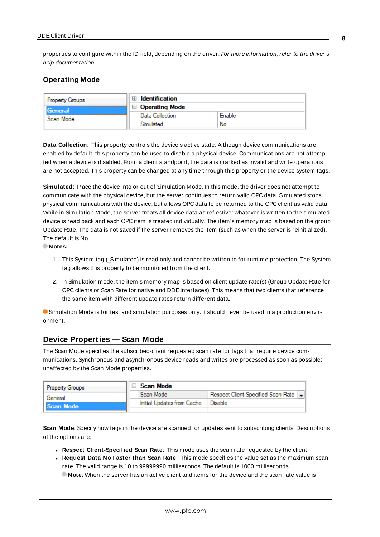properties to configure within the ID field, depending on the driver. For more information, refer to the driver's help documentation.

## <span id="page-7-0"></span>**Operating Mode**

| <b>Property Groups</b> | <b>Identification</b> |        |
|------------------------|-----------------------|--------|
| General<br>Scan Mode   | <b>Operating Mode</b> |        |
|                        | Data Collection       | Enable |
|                        | Simulated             | No     |

<span id="page-7-2"></span>**Data Collection**: This property controls the device's active state. Although device communications are enabled by default, this property can be used to disable a physical device. Communications are not attempted when a device is disabled. From a client standpoint, the data is marked as invalid and write operations are not accepted. This property can be changed at any time through this property or the device system tags.

<span id="page-7-4"></span>**Simulated**: Place the device into or out of Simulation Mode. In this mode, the driver does not attempt to communicate with the physical device, but the server continues to return valid OPC data. Simulated stops physical communications with the device, but allows OPC data to be returned to the OPC client as valid data. While in Simulation Mode, the server treats all device data as reflective: whatever is written to the simulated device is read back and each OPC item is treated individually. The item's memory map is based on the group Update Rate. The data is not saved if the server removes the item (such as when the server is reinitialized). The default is No.

**Notes:**

- 1. This System tag (Simulated) is read only and cannot be written to for runtime protection. The System tag allows this property to be monitored from the client.
- 2. In Simulation mode, the item's memory map is based on client update rate(s) (Group Update Rate for OPC clients or Scan Rate for native and DDEinterfaces). This means that two clients that reference the same item with different update rates return different data.

 Simulation Mode is for test and simulation purposes only. It should never be used in a production environment.

## <span id="page-7-1"></span>**Device Properties — Scan Mode**

The Scan Mode specifies the subscribed-client requested scan rate for tags that require device communications. Synchronous and asynchronous device reads and writes are processed as soon as possible; unaffected by the Scan Mode properties.

| <b>Property Groups</b> | Scan Mode                  |                                    |
|------------------------|----------------------------|------------------------------------|
| General                | Scan Mode                  | Respect Client-Specified Scan Rate |
| Scan Mode              | Initial Updates from Cache | Disable                            |
|                        |                            |                                    |

<span id="page-7-3"></span>**Scan Mode**: Specify how tags in the device are scanned for updates sent to subscribing clients. Descriptions of the options are:

- <sup>l</sup> **Respect Client-Specified Scan Rate**: This mode uses the scan rate requested by the client.
- <sup>l</sup> **Request Data No Faster than Scan Rate**: This mode specifies the value set as the maximum scan rate. The valid range is 10 to 99999990 milliseconds. The default is 1000 milliseconds.

**Note**: When the server has an active client and items for the device and the scan rate value is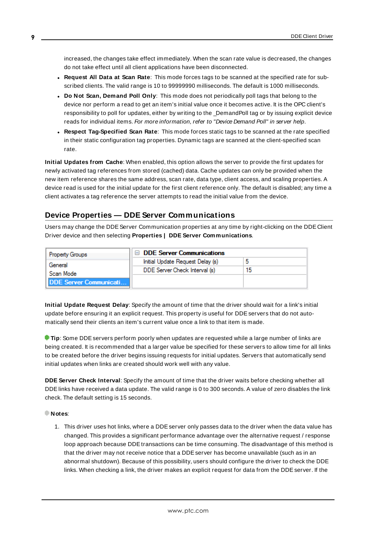increased, the changes take effect immediately. When the scan rate value is decreased, the changes do not take effect until all client applications have been disconnected.

- <span id="page-8-1"></span><sup>l</sup> **Request All Data at Scan Rate**: This mode forces tags to be scanned at the specified rate for subscribed clients. The valid range is 10 to 99999990 milliseconds. The default is 1000 milliseconds.
- <sup>l</sup> **Do Not Scan, Demand Poll Only**: This mode does not periodically poll tags that belong to the device nor perform a read to get an item's initial value once it becomes active. It is the OPC client's responsibility to poll for updates, either by writing to the \_DemandPoll tag or by issuing explicit device reads for individual items. For more information, refer to "Device Demand Poll" in server help.
- <span id="page-8-3"></span><sup>l</sup> **Respect Tag-Specified Scan Rate**: This mode forces static tags to be scanned at the rate specified in their static configuration tag properties. Dynamic tags are scanned at the client-specified scan rate.

<span id="page-8-2"></span>**Initial Updates from Cache**: When enabled, this option allows the server to provide the first updates for newly activated tag references from stored (cached) data. Cache updates can only be provided when the new item reference shares the same address, scan rate, data type, client access, and scaling properties. A device read is used for the initial update for the first client reference only. The default is disabled; any time a client activates a tag reference the server attempts to read the initial value from the device.

# <span id="page-8-0"></span>**Device Properties — DDE Server Communications**

Users may change the DDEServer Communication properties at any time by right-clicking on the DDE Client Driver device and then selecting **Properties | DDE Server Communications**.

| <b>Property Groups</b>        | $\Box$ DDE Server Communications |    |
|-------------------------------|----------------------------------|----|
| General                       | Initial Update Request Delay (s) |    |
| Scan Mode                     | DDE Server Check Interval (s)    | 15 |
| <b>DDE Server Communicati</b> |                                  |    |
|                               |                                  |    |

**Initial Update Request Delay**: Specify the amount of time that the driver should wait for a link's initial update before ensuring it an explicit request. This property is useful for DDE servers that do not automatically send their clients an item's current value once a link to that item is made.

**Tip**: Some DDEservers perform poorly when updates are requested while a large number of links are being created. It is recommended that a larger value be specified for these servers to allow time for all links to be created before the driver begins issuing requests for initial updates. Servers that automatically send initial updates when links are created should work well with any value.

**DDE Server Check Interval**: Specify the amount of time that the driver waits before checking whether all DDElinks have received a data update. The valid range is 0 to 300 seconds. A value of zero disables the link check. The default setting is 15 seconds.

#### **Notes**:

1. This driver uses hot links, where a DDE server only passes data to the driver when the data value has changed. This provides a significant performance advantage over the alternative request / response loop approach because DDE transactions can be time consuming. The disadvantage of this method is that the driver may not receive notice that a DDE server has become unavailable (such as in an abnormal shutdown). Because of this possibility, users should configure the driver to check the DDE links. When checking a link, the driver makes an explicit request for data from the DDE server. If the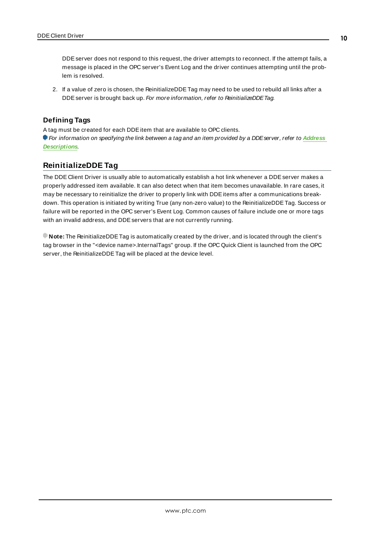DDE server does not respond to this request, the driver attempts to reconnect. If the attempt fails, a message is placed in the OPC server's Event Log and the driver continues attempting until the problem is resolved.

2. If a value of zero is chosen, the ReinitializeDDETag may need to be used to rebuild all links after a DDE server is brought back up. For more information, refer to ReinitializeDDE Tag.

## **Defining Tags**

A tag must be created for each DDEitem that are available to OPC clients.

For information on specifying the link between a tag and an item provided by a DDEserver, refer to **[Address](#page-11-0) [Descriptions](#page-11-0)**.

# <span id="page-9-0"></span>**ReinitializeDDE Tag**

The DDE Client Driver is usually able to automatically establish a hot link whenever a DDE server makes a properly addressed item available. It can also detect when that item becomes unavailable. In rare cases, it may be necessary to reinitialize the driver to properly link with DDEitems after a communications breakdown. This operation is initiated by writing True (any non-zero value) to the ReinitializeDDETag. Success or failure will be reported in the OPC server's Event Log. Common causes of failure include one or more tags with an invalid address, and DDE servers that are not currently running.

**Note:** The ReinitializeDDETag is automatically created by the driver, and is located through the client's tag browser in the "<device name>.InternalTags" group. If the OPC Quick Client is launched from the OPC server, the ReinitializeDDETag will be placed at the device level.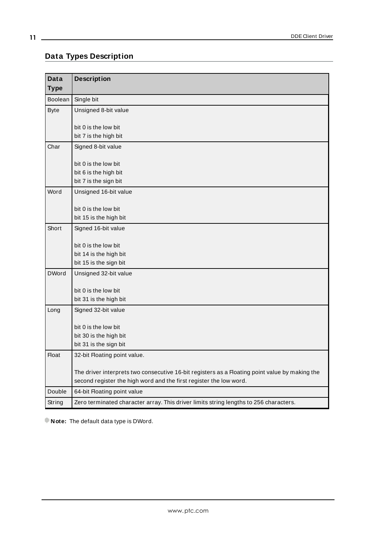# <span id="page-10-0"></span>**Data Types Description**

<span id="page-10-7"></span><span id="page-10-5"></span><span id="page-10-1"></span>

| <b>Data</b>  | <b>Description</b>                                                                                |
|--------------|---------------------------------------------------------------------------------------------------|
| <b>Type</b>  |                                                                                                   |
| Boolean      | Single bit                                                                                        |
| <b>Byte</b>  | Unsigned 8-bit value                                                                              |
|              |                                                                                                   |
|              | bit 0 is the low bit<br>bit 7 is the high bit                                                     |
| Char         | Signed 8-bit value                                                                                |
|              |                                                                                                   |
|              | bit 0 is the low bit                                                                              |
|              | bit 6 is the high bit                                                                             |
|              | bit 7 is the sign bit                                                                             |
| Word         | Unsigned 16-bit value                                                                             |
|              |                                                                                                   |
|              | bit 0 is the low bit<br>bit 15 is the high bit                                                    |
| Short        |                                                                                                   |
|              | Signed 16-bit value                                                                               |
|              | bit 0 is the low bit                                                                              |
|              | bit 14 is the high bit                                                                            |
|              | bit 15 is the sign bit                                                                            |
| <b>DWord</b> | Unsigned 32-bit value                                                                             |
|              |                                                                                                   |
|              | bit 0 is the low bit<br>bit 31 is the high bit                                                    |
| Long         | Signed 32-bit value                                                                               |
|              |                                                                                                   |
|              | bit 0 is the low bit                                                                              |
|              | bit 30 is the high bit                                                                            |
|              | bit 31 is the sign bit                                                                            |
| <b>Float</b> | 32-bit Floating point value.                                                                      |
|              |                                                                                                   |
|              | The driver interprets two consecutive 16-bit registers as a Floating point value by making the    |
| Double       | second register the high word and the first register the low word.<br>64-bit Floating point value |
|              |                                                                                                   |
| String       | Zero terminated character array. This driver limits string lengths to 256 characters.             |

<span id="page-10-6"></span><span id="page-10-4"></span><span id="page-10-3"></span><span id="page-10-2"></span>**Note:** The default data type is DWord.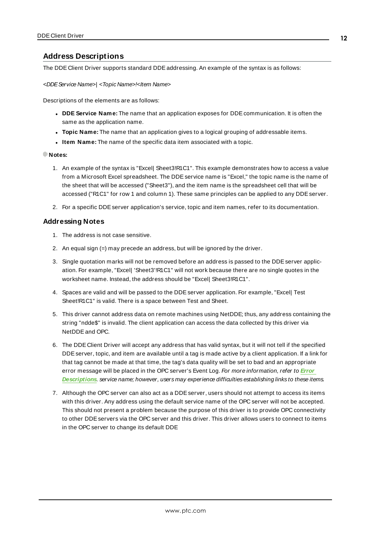## <span id="page-11-0"></span>**Address Descriptions**

The DDE Client Driver supports standard DDE addressing. An example of the syntax is as follows:

#### <DDEService Name>| <Topic Name>!<Item Name>

Descriptions of the elements are as follows:

- <sup>l</sup> **DDE Service Name:** The name that an application exposes for DDE communication. It is often the same as the application name.
- **Topic Name:** The name that an application gives to a logical grouping of addressable items.
- **.** Item Name: The name of the specific data item associated with a topic.

#### **Notes:**

- 1. An example of the syntax is "Excel| Sheet3!R1C1". This example demonstrates how to access a value from a Microsoft Excel spreadsheet. The DDE service name is "Excel," the topic name is the name of the sheet that will be accessed ("Sheet3"), and the item name is the spreadsheet cell that will be accessed ("R1C1" for row 1 and column 1). These same principles can be applied to any DDE server.
- 2. For a specific DDEserver application's service, topic and item names, refer to its documentation.

#### **Addressing Notes**

- 1. The address is not case sensitive.
- 2. An equal sign (=) may precede an address, but will be ignored by the driver.
- 3. Single quotation marks will not be removed before an address is passed to the DDEserver application. For example, "Excel| 'Sheet3'!R1C1" will not work because there are no single quotes in the worksheet name. Instead, the address should be "Excel| Sheet3!R1C1".
- 4. Spaces are valid and will be passed to the DDEserver application. For example, "Excel| Test Sheet!R1C1" is valid. There is a space between Test and Sheet.
- 5. This driver cannot address data on remote machines using NetDDE; thus, any address containing the string "ndde\$" is invalid. The client application can access the data collected by this driver via NetDDEand OPC.
- 6. The DDE Client Driver will accept any address that has valid syntax, but it will not tell if the specified DDEserver, topic, and item are available until a tag is made active by a client application. If a link for that tag cannot be made at that time, the tag's data quality will be set to bad and an appropriate error message will be placed in the OPC server's Event Log. For more information, refer to **[Error](#page-12-0) [Descriptions](#page-12-0)**. service name; however, users may experience difficulties establishing links to these items.
- 7. Although the OPC server can also act as a DDEserver, users should not attempt to access its items with this driver. Any address using the default service name of the OPC server will not be accepted. This should not present a problem because the purpose of this driver is to provide OPC connectivity to other DDE servers via the OPC server and this driver. This driver allows users to connect to items in the OPC server to change its default DDE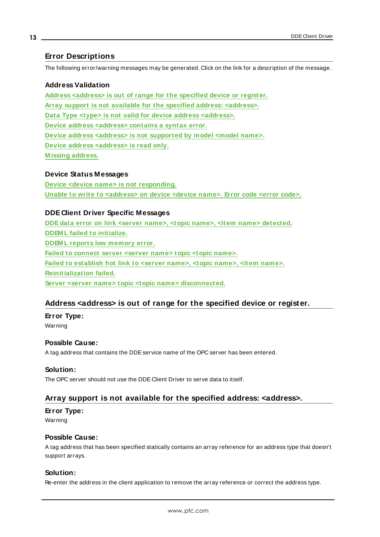## <span id="page-12-0"></span>**Error Descriptions**

The following error/warning messages may be generated. Click on the link for a description of the message.

#### **Address Validation**

**Address [<address>](#page-12-1) is out of range for the specified device or register.**

**Array support is not available for the specified address: [<address>.](#page-12-2)**

**Data Type <type> is not valid for device address [<address>.](#page-13-0)**

**Device address [<address>](#page-13-1) contains a syntax error.**

**Device address <address> is not [supported](#page-13-2) by model <model name>.**

**Device address [<address>](#page-13-3) is read only.**

**[M issing](#page-13-4) address.**

#### **Device Status Messages**

**Device <device name> is not [responding.](#page-14-0) Unable to write to [<address>](#page-14-1) on device <device name>. Error code <error code>.**

## **DDE Client Driver Specific Messages**

**DDEdata error on link <server name>, <topic name>, <item name> [detected.](#page-15-0) [DDEM L](#page-15-1) failed to initialize. [DDEM L](#page-16-0) reports low memory error. Failed to [connect](#page-16-1) server <server name> topic <topic name>. Failed to [establish](#page-16-2) hot link to <server name>, <topic name>, <item name>. [Reinitialization](#page-17-0) failed. Server <server name> topic <topic name> [disconnected.](#page-17-1)**

## <span id="page-12-1"></span>**Address <address> is out of range for the specified device or register.**

**Error Type:**

Warning

## **Possible Cause:**

A tag address that contains the DDEservice name of the OPC server has been entered.

#### **Solution:**

<span id="page-12-2"></span>The OPC server should not use the DDE Client Driver to serve data to itself.

#### **Array support is not available for the specified address: <address>.**

#### **Error Type:**

Warning

#### **Possible Cause:**

A tag address that has been specified statically contains an array reference for an address type that doesn't support arrays.

## **Solution:**

Re-enter the address in the client application to remove the array reference or correct the address type.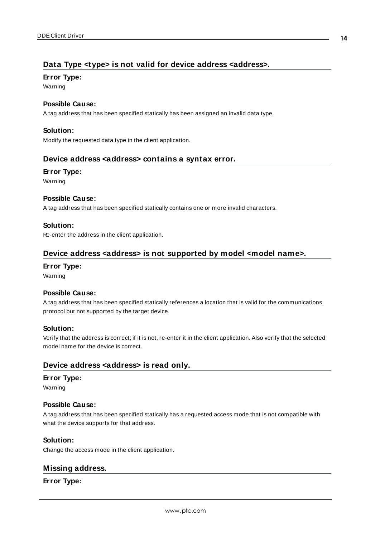# <span id="page-13-0"></span>**Data Type <type> is not valid for device address <address>.**

#### **Error Type:**

Warning

#### **Possible Cause:**

A tag address that has been specified statically has been assigned an invalid data type.

#### **Solution:**

<span id="page-13-1"></span>Modify the requested data type in the client application.

## **Device address <address> contains a syntax error.**

#### **Error Type:**

Warning

#### **Possible Cause:**

A tag address that has been specified statically contains one or more invalid characters.

## **Solution:**

<span id="page-13-2"></span>Re-enter the address in the client application.

# **Device address <address> is not supported by model <model name>.**

#### **Error Type:**

Warning

## **Possible Cause:**

A tag address that has been specified statically references a location that is valid for the communications protocol but not supported by the target device.

#### **Solution:**

Verify that the address is correct; if it is not, re-enter it in the client application. Also verify that the selected model name for the device is correct.

## <span id="page-13-3"></span>**Device address <address> is read only.**

#### **Error Type:**

Warning

#### **Possible Cause:**

A tag address that has been specified statically has a requested access mode that is not compatible with what the device supports for that address.

#### **Solution:**

<span id="page-13-4"></span>Change the access mode in the client application.

#### **Missing address.**

#### **Error Type:**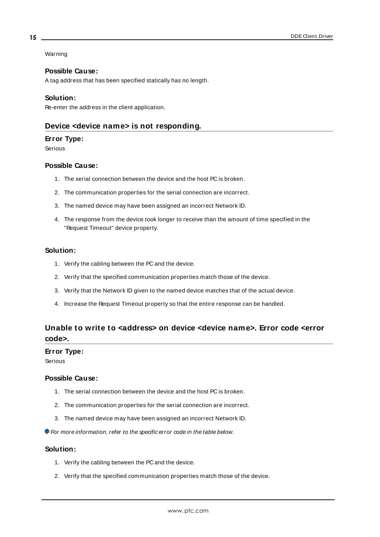#### Warning

#### **Possible Cause:**

A tag address that has been specified statically has no length.

#### **Solution:**

<span id="page-14-0"></span>Re-enter the address in the client application.

#### **Device <device name> is not responding.**

#### **Error Type:**

Serious

## **Possible Cause:**

- 1. The serial connection between the device and the host PC is broken.
- 2. The communication properties for the serial connection are incorrect.
- 3. The named device may have been assigned an incorrect Network ID.
- 4. The response from the device took longer to receive than the amount of time specified in the "Request Timeout" device property.

#### **Solution:**

- 1. Verify the cabling between the PC and the device.
- 2. Verify that the specified communication properties match those of the device.
- 3. Verify that the Network ID given to the named device matches that of the actual device.
- 4. Increase the Request Timeout property so that the entire response can be handled.

# <span id="page-14-1"></span>**Unable to write to <address> on device <device name>. Error code <error code>.**

#### **Error Type:**

Serious

#### **Possible Cause:**

- 1. The serial connection between the device and the host PC is broken.
- 2. The communication properties for the serial connection are incorrect.
- 3. The named device may have been assigned an incorrect Network ID.

For more information, refer to the specific error code in the table below.

#### **Solution:**

- 1. Verify the cabling between the PC and the device.
- 2. Verify that the specified communication properties match those of the device.

**15**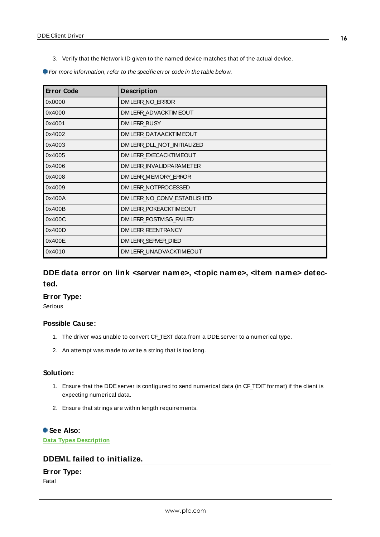3. Verify that the Network ID given to the named device matches that of the actual device.

For more information, refer to the specific error code in the table below.

| <b>Error Code</b> | <b>Description</b>           |
|-------------------|------------------------------|
| 0x0000            | DMLERR NO ERROR              |
| 0x4000            | DMLERR ADVACKTIMEOUT         |
| 0x4001            | <b>DMLERR BUSY</b>           |
| 0x4002            | DMLERR DATAACKTIMEOUT        |
| 0x4003            | DMLERR DLL NOT INITIALIZED   |
| 0x4005            | <b>DMLERR EXECACKTIMEOUT</b> |
| 0x4006            | DMLERR INVALIDPARAMETER      |
| 0x4008            | DMLERR MEMORY ERROR          |
| 0x4009            | DMLERR NOTPROCESSED          |
| 0x400A            | DMLERR NO CONV ESTABLISHED   |
| 0x400B            | <b>DMLERR POKEACKTIMEOUT</b> |
| 0x400C            | DMLERR POSTMSG FAILED        |
| 0x400D            | DMLERR REENTRANCY            |
| 0x400E            | DMLERR SERVER DIED           |
| 0x4010            | DMLERR UNADVACKTIMEOUT       |

# <span id="page-15-0"></span>**DDE data error on link <server name>, <topic name>, <item name> detected.**

## **Error Type:**

Serious

#### **Possible Cause:**

- 1. The driver was unable to convert CF\_TEXT data from a DDE server to a numerical type.
- 2. An attempt was made to write a string that is too long.

## **Solution:**

- 1. Ensure that the DDEserver is configured to send numerical data (in CF\_TEXT format) if the client is expecting numerical data.
- 2. Ensure that strings are within length requirements.

## **See Also:**

<span id="page-15-1"></span>**Data Types [Description](#page-10-0)**

## **DDEML failed to initialize.**

## **Error Type:**

Fatal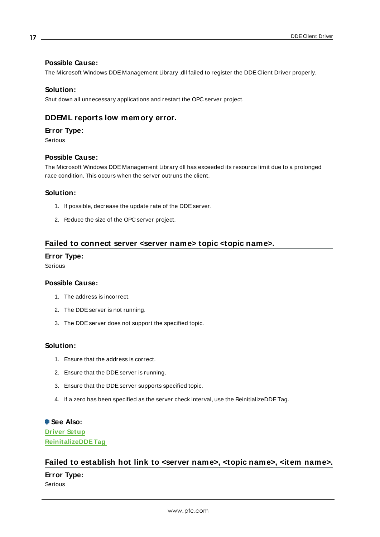#### **Possible Cause:**

The Microsoft Windows DDE Management Library .dll failed to register the DDE Client Driver properly.

#### **Solution:**

<span id="page-16-0"></span>Shut down all unnecessary applications and restart the OPC server project.

## **DDEML reports low memory error.**

#### **Error Type:**

Serious

#### **Possible Cause:**

The Microsoft Windows DDE Management Library dll has exceeded its resource limit due to a prolonged race condition. This occurs when the server outruns the client.

#### **Solution:**

- 1. If possible, decrease the update rate of the DDE server.
- 2. Reduce the size of the OPC server project.

## <span id="page-16-1"></span>**Failed to connect server <server name> topic <topic name>.**

#### **Error Type:**

Serious

#### **Possible Cause:**

- 1. The address is incorrect.
- 2. The DDEserver is not running.
- 3. The DDEserver does not support the specified topic.

## **Solution:**

- 1. Ensure that the address is correct.
- 2. Ensure that the DDEserver is running.
- 3. Ensure that the DDEserver supports specified topic.
- 4. If a zero has been specified as the server check interval, use the ReinitializeDDETag.

## **See Also:**

**[Driver](#page-3-0) Setup [ReinitalizeDDETag](#page-9-0)**

# <span id="page-16-2"></span>**Failed to establish hot link to <server name>, <topic name>, <item name>.**

#### **Error Type:**

Serious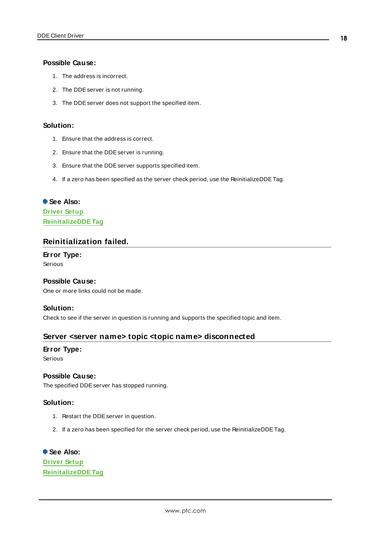#### **Possible Cause:**

- 1. The address is incorrect.
- 2. The DDE server is not running.
- 3. The DDEserver does not support the specified item.

#### **Solution:**

- 1. Ensure that the address is correct.
- 2. Ensure that the DDEserver is running.
- 3. Ensure that the DDEserver supports specified item.
- 4. If a zero has been specified as the server check period, use the ReinitializeDDETag.

# **See Also: [Driver](#page-3-0) Setup [ReinitalizeDDETag](#page-9-0)**

## <span id="page-17-0"></span>**Reinitialization failed.**

#### **Error Type:**

Serious

#### **Possible Cause:**

One or more links could not be made.

#### **Solution:**

<span id="page-17-1"></span>Check to see if the server in question is running and supports the specified topic and item.

#### **Server <server name> topic <topic name> disconnected**

## **Error Type:**

Serious

#### **Possible Cause:**

The specified DDE server has stopped running.

#### **Solution:**

- 1. Restart the DDEserver in question.
- 2. If a zero has been specified for the server check period, use the ReinitializeDDETag.

# **See Also:**

**[Driver](#page-3-0) Setup [ReinitalizeDDETag](#page-9-0)**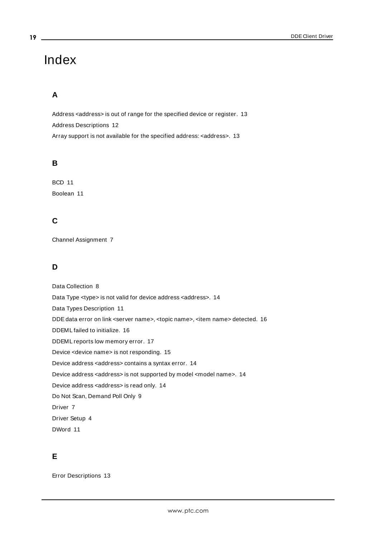# <span id="page-18-0"></span>Index

# **A**

Address <address> is out of range for the specified device or register. [13](#page-12-1) Address Descriptions [12](#page-11-0) Array support is not available for the specified address: <address>. [13](#page-12-2)

# **B**

BCD [11](#page-10-0) Boolean [11](#page-10-1)

# **C**

Channel Assignment [7](#page-6-1)

# **D**

Data Collection [8](#page-7-2) Data Type <type> is not valid for device address <address>. [14](#page-13-0) Data Types Description [11](#page-10-0) DDEdata error on link <server name>, <topic name>, <item name> detected. [16](#page-15-0) DDEML failed to initialize. [16](#page-15-1) DDEML reports low memory error. [17](#page-16-0) Device <device name> is not responding. [15](#page-14-0) Device address <address> contains a syntax error. [14](#page-13-1) Device address <address> is not supported by model <model name>. [14](#page-13-2) Device address <address> is read only. [14](#page-13-3) Do Not Scan, Demand Poll Only [9](#page-8-1) Driver [7](#page-6-2) Driver Setup [4](#page-3-0) DWord [11](#page-10-2)

# **E**

Error Descriptions [13](#page-12-0)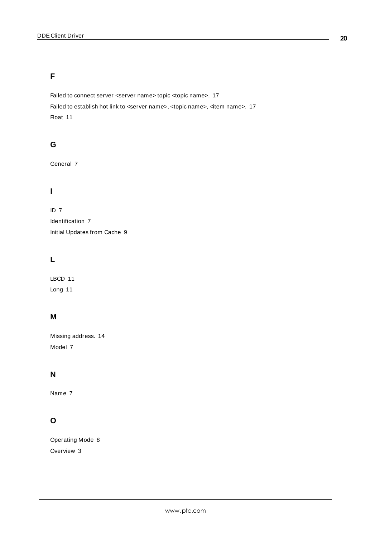# **F**

Failed to connect server <server name> topic <topic name>. [17](#page-16-1) Failed to establish hot link to <server name>, <topic name>, <item name>. [17](#page-16-2) Float [11](#page-10-3)

# **G**

General [7](#page-6-0)

# **I**

ID [7](#page-6-3)

Identification [7](#page-6-0) Initial Updates from Cache [9](#page-8-2)

# **L**

LBCD [11](#page-10-0) Long [11](#page-10-4)

# **M**

Missing address. [14](#page-13-4) Model [7](#page-6-4)

# **N**

Name [7](#page-6-5)

# **O**

Operating Mode [8](#page-7-0) Overview [3](#page-2-1)